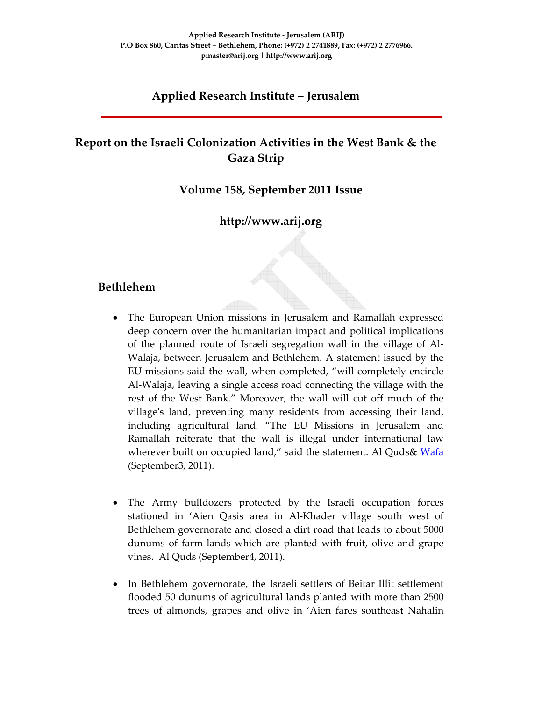#### **Applied Research Institute – Jerusalem**

# **Report on the Israeli Colonization Activities in the West Bank & the Gaza Strip**

#### **Volume 158, September 2011 Issue**

#### **http://www.arij.org**

#### **Bethlehem**

- The European Union missions in Jerusalem and Ramallah expressed deep concern over the humanitarian impact and political implications of the planned route of Israeli segregation wall in the village of Al‐ Walaja, between Jerusalem and Bethlehem. A statement issued by the EU missions said the wall, when completed, "will completely encircle Al‐Walaja, leaving a single access road connecting the village with the rest of the West Bank." Moreover, the wall will cut off much of the village's land, preventing many residents from accessing their land, including agricultural land. "The EU Missions in Jerusalem and Ramallah reiterate that the wall is illegal under international law wherever built on occupied land," said the statement. Al Quds& Wafa (September3, 2011).
- The Army bulldozers protected by the Israeli occupation forces stationed in 'Aien Qasis area in Al‐Khader village south west of Bethlehem governorate and closed a dirt road that leads to about 5000 dunums of farm lands which are planted with fruit, olive and grape vines. Al Quds (September4, 2011).
- In Bethlehem governorate, the Israeli settlers of Beitar Illit settlement flooded 50 dunums of agricultural lands planted with more than 2500 trees of almonds, grapes and olive in 'Aien fares southeast Nahalin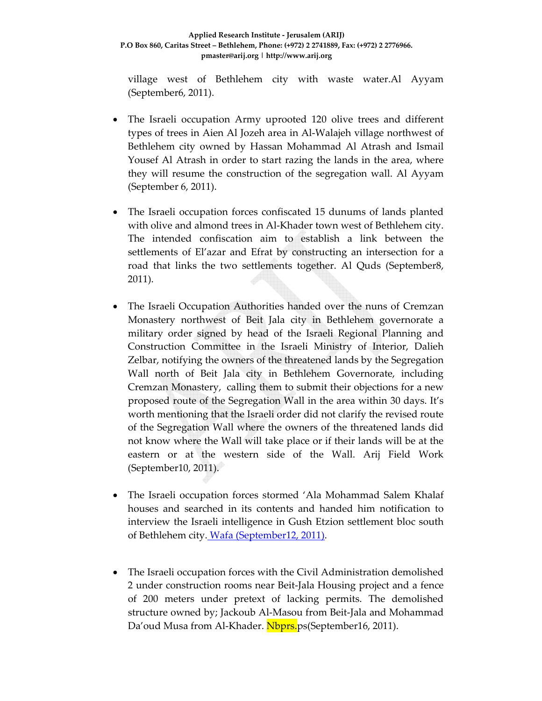village west of Bethlehem city with waste water.Al Ayyam (September6, 2011).

- The Israeli occupation Army uprooted 120 olive trees and different types of trees in Aien Al Jozeh area in Al‐Walajeh village northwest of Bethlehem city owned by Hassan Mohammad Al Atrash and Ismail Yousef Al Atrash in order to start razing the lands in the area, where they will resume the construction of the segregation wall. Al Ayyam (September 6, 2011).
- The Israeli occupation forces confiscated 15 dunums of lands planted with olive and almond trees in Al-Khader town west of Bethlehem city. The intended confiscation aim to establish a link between the settlements of El'azar and Efrat by constructing an intersection for a road that links the two settlements together. Al Quds (September8, 2011).
- The Israeli Occupation Authorities handed over the nuns of Cremzan Monastery northwest of Beit Jala city in Bethlehem governorate a military order signed by head of the Israeli Regional Planning and Construction Committee in the Israeli Ministry of Interior, Dalieh Zelbar, notifying the owners of the threatened lands by the Segregation Wall north of Beit Jala city in Bethlehem Governorate, including Cremzan Monastery, calling them to submit their objections for a new proposed route of the Segregation Wall in the area within 30 days. It's worth mentioning that the Israeli order did not clarify the revised route of the Segregation Wall where the owners of the threatened lands did not know where the Wall will take place or if their lands will be at the eastern or at the western side of the Wall. Arij Field Work (September10, 2011).
- The Israeli occupation forces stormed 'Ala Mohammad Salem Khalaf houses and searched in its contents and handed him notification to interview the Israeli intelligence in Gush Etzion settlement bloc south of Bethlehem city. Wafa (September12, 2011).
- The Israeli occupation forces with the Civil Administration demolished 2 under construction rooms near Beit‐Jala Housing project and a fence of 200 meters under pretext of lacking permits. The demolished structure owned by; Jackoub Al‐Masou from Beit‐Jala and Mohammad Da'oud Musa from Al-Khader. Nbprs.ps(September16, 2011).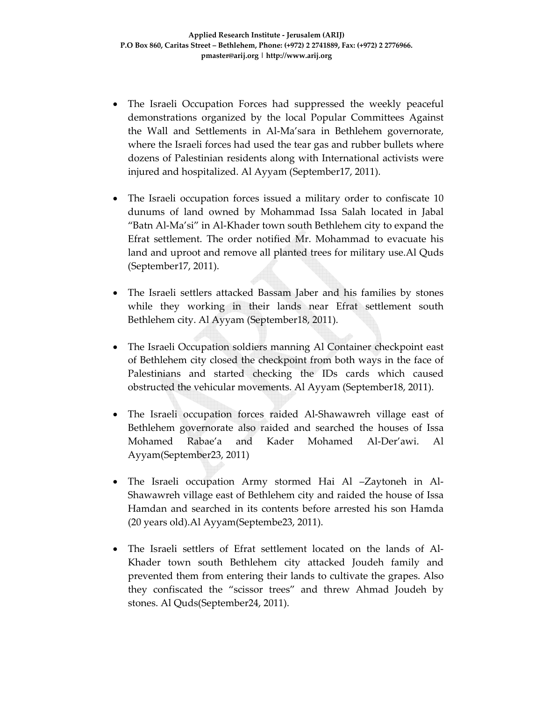- The Israeli Occupation Forces had suppressed the weekly peaceful demonstrations organized by the local Popular Committees Against the Wall and Settlements in Al‐Ma'sara in Bethlehem governorate, where the Israeli forces had used the tear gas and rubber bullets where dozens of Palestinian residents along with International activists were injured and hospitalized. Al Ayyam (September17, 2011).
- The Israeli occupation forces issued a military order to confiscate 10 dunums of land owned by Mohammad Issa Salah located in Jabal "Batn Al‐Ma'si" in Al‐Khader town south Bethlehem city to expand the Efrat settlement. The order notified Mr. Mohammad to evacuate his land and uproot and remove all planted trees for military use.Al Quds (September17, 2011).
- The Israeli settlers attacked Bassam Jaber and his families by stones while they working in their lands near Efrat settlement south Bethlehem city. Al Ayyam (September18, 2011).
- The Israeli Occupation soldiers manning Al Container checkpoint east of Bethlehem city closed the checkpoint from both ways in the face of Palestinians and started checking the IDs cards which caused obstructed the vehicular movements. Al Ayyam (September18, 2011).
- The Israeli occupation forces raided Al-Shawawreh village east of Bethlehem governorate also raided and searched the houses of Issa Mohamed Rabae'a and Kader Mohamed Al‐Der'awi. Al Ayyam(September23, 2011)
- The Israeli occupation Army stormed Hai Al –Zaytoneh in Al‐ Shawawreh village east of Bethlehem city and raided the house of Issa Hamdan and searched in its contents before arrested his son Hamda (20 years old).Al Ayyam(Septembe23, 2011).
- The Israeli settlers of Efrat settlement located on the lands of Al-Khader town south Bethlehem city attacked Joudeh family and prevented them from entering their lands to cultivate the grapes. Also they confiscated the "scissor trees" and threw Ahmad Joudeh by stones. Al Quds(September24, 2011).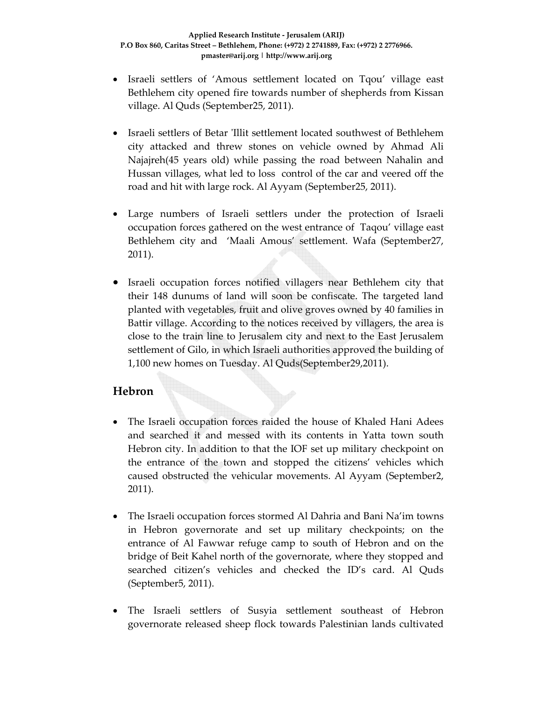- Israeli settlers of 'Amous settlement located on Tqou' village east Bethlehem city opened fire towards number of shepherds from Kissan village. Al Quds (September25, 2011).
- Israeli settlers of Betar 'Illit settlement located southwest of Bethlehem city attacked and threw stones on vehicle owned by Ahmad Ali Najajreh(45 years old) while passing the road between Nahalin and Hussan villages, what led to loss control of the car and veered off the road and hit with large rock. Al Ayyam (September25, 2011).
- Large numbers of Israeli settlers under the protection of Israeli occupation forces gathered on the west entrance of Taqou' village east Bethlehem city and 'Maali Amous' settlement. Wafa (September27, 2011).
- Israeli occupation forces notified villagers near Bethlehem city that their 148 dunums of land will soon be confiscate. The targeted land planted with vegetables, fruit and olive groves owned by 40 families in Battir village. According to the notices received by villagers, the area is close to the train line to Jerusalem city and next to the East Jerusalem settlement of Gilo, in which Israeli authorities approved the building of 1,100 new homes on Tuesday. Al Quds(September29,2011).

# **Hebron**

- The Israeli occupation forces raided the house of Khaled Hani Adees and searched it and messed with its contents in Yatta town south Hebron city. In addition to that the IOF set up military checkpoint on the entrance of the town and stopped the citizens' vehicles which caused obstructed the vehicular movements. Al Ayyam (September2, 2011).
- The Israeli occupation forces stormed Al Dahria and Bani Na'im towns in Hebron governorate and set up military checkpoints; on the entrance of Al Fawwar refuge camp to south of Hebron and on the bridge of Beit Kahel north of the governorate, where they stopped and searched citizen's vehicles and checked the ID's card. Al Quds (September5, 2011).
- The Israeli settlers of Susyia settlement southeast of Hebron governorate released sheep flock towards Palestinian lands cultivated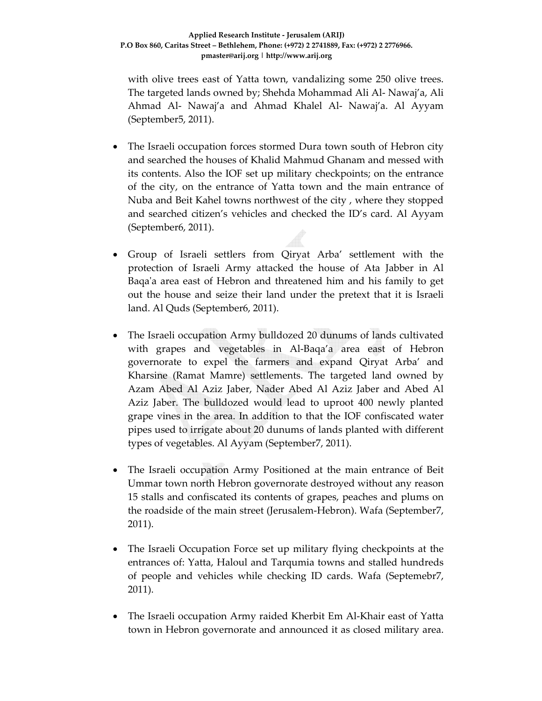with olive trees east of Yatta town, vandalizing some 250 olive trees. The targeted lands owned by; Shehda Mohammad Ali Al‐ Nawaj'a, Ali Ahmad Al‐ Nawaj'a and Ahmad Khalel Al‐ Nawaj'a. Al Ayyam (September5, 2011).

- The Israeli occupation forces stormed Dura town south of Hebron city and searched the houses of Khalid Mahmud Ghanam and messed with its contents. Also the IOF set up military checkpoints; on the entrance of the city, on the entrance of Yatta town and the main entrance of Nuba and Beit Kahel towns northwest of the city , where they stopped and searched citizen's vehicles and checked the ID's card. Al Ayyam (September6, 2011).
- Group of Israeli settlers from Qiryat Arba' settlement with the protection of Israeli Army attacked the house of Ata Jabber in Al Baqa'a area east of Hebron and threatened him and his family to get out the house and seize their land under the pretext that it is Israeli land. Al Quds (September6, 2011).
- The Israeli occupation Army bulldozed 20 dunums of lands cultivated with grapes and vegetables in Al-Baqa'a area east of Hebron governorate to expel the farmers and expand Qiryat Arba' and Kharsine (Ramat Mamre) settlements. The targeted land owned by Azam Abed Al Aziz Jaber, Nader Abed Al Aziz Jaber and Abed Al Aziz Jaber. The bulldozed would lead to uproot 400 newly planted grape vines in the area. In addition to that the IOF confiscated water pipes used to irrigate about 20 dunums of lands planted with different types of vegetables. Al Ayyam (September7, 2011).
- The Israeli occupation Army Positioned at the main entrance of Beit Ummar town north Hebron governorate destroyed without any reason 15 stalls and confiscated its contents of grapes, peaches and plums on the roadside of the main street (Jerusalem‐Hebron). Wafa (September7, 2011).
- The Israeli Occupation Force set up military flying checkpoints at the entrances of: Yatta, Haloul and Tarqumia towns and stalled hundreds of people and vehicles while checking ID cards. Wafa (Septemebr7, 2011).
- The Israeli occupation Army raided Kherbit Em Al‐Khair east of Yatta town in Hebron governorate and announced it as closed military area.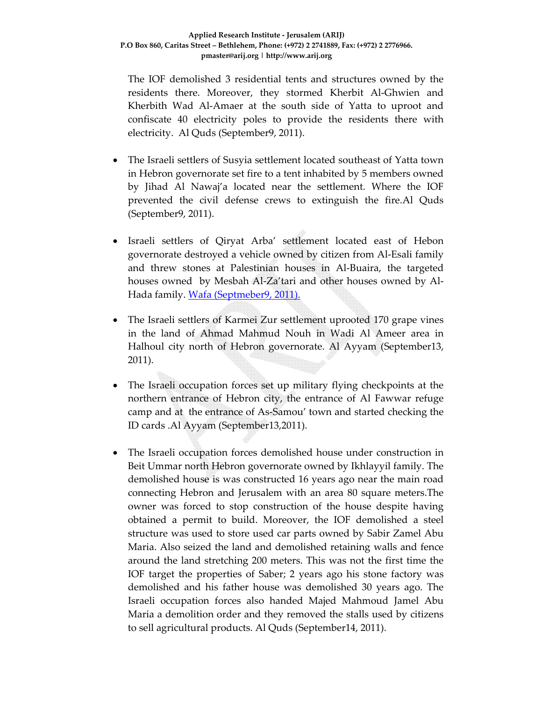The IOF demolished 3 residential tents and structures owned by the residents there. Moreover, they stormed Kherbit Al‐Ghwien and Kherbith Wad Al‐Amaer at the south side of Yatta to uproot and confiscate 40 electricity poles to provide the residents there with electricity. Al Quds (September9, 2011).

- The Israeli settlers of Susyia settlement located southeast of Yatta town in Hebron governorate set fire to a tent inhabited by 5 members owned by Jihad Al Nawaj'a located near the settlement. Where the IOF prevented the civil defense crews to extinguish the fire.Al Quds (September9, 2011).
- Israeli settlers of Qiryat Arba' settlement located east of Hebon governorate destroyed a vehicle owned by citizen from Al‐Esali family and threw stones at Palestinian houses in Al‐Buaira, the targeted houses owned by Mesbah Al‐Za'tari and other houses owned by Al‐ Hada family. Wafa (Septmeber9, 2011).
- The Israeli settlers of Karmei Zur settlement uprooted 170 grape vines in the land of Ahmad Mahmud Nouh in Wadi Al Ameer area in Halhoul city north of Hebron governorate. Al Ayyam (September13, 2011).
- The Israeli occupation forces set up military flying checkpoints at the northern entrance of Hebron city, the entrance of Al Fawwar refuge camp and at the entrance of As‐Samou' town and started checking the ID cards .Al Ayyam (September13,2011).
- The Israeli occupation forces demolished house under construction in Beit Ummar north Hebron governorate owned by Ikhlayyil family. The demolished house is was constructed 16 years ago near the main road connecting Hebron and Jerusalem with an area 80 square meters.The owner was forced to stop construction of the house despite having obtained a permit to build. Moreover, the IOF demolished a steel structure was used to store used car parts owned by Sabir Zamel Abu Maria. Also seized the land and demolished retaining walls and fence around the land stretching 200 meters. This was not the first time the IOF target the properties of Saber; 2 years ago his stone factory was demolished and his father house was demolished 30 years ago. The Israeli occupation forces also handed Majed Mahmoud Jamel Abu Maria a demolition order and they removed the stalls used by citizens to sell agricultural products. Al Quds (September14, 2011).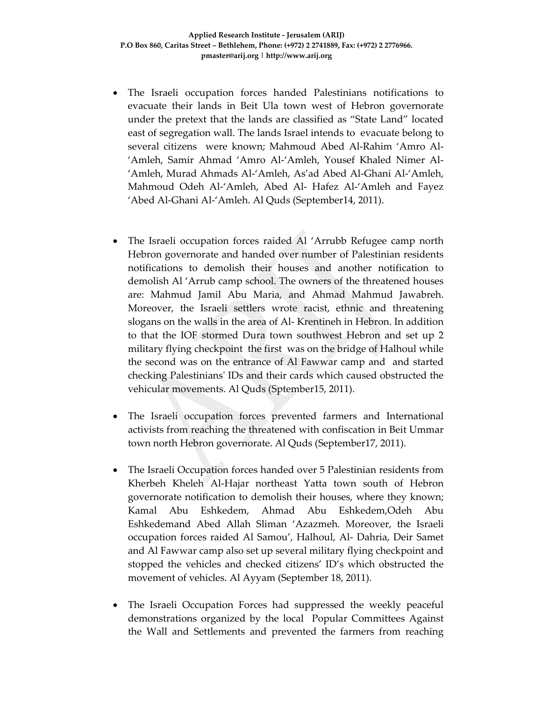- The Israeli occupation forces handed Palestinians notifications to evacuate their lands in Beit Ula town west of Hebron governorate under the pretext that the lands are classified as "State Land" located east of segregation wall. The lands Israel intends to evacuate belong to several citizens were known; Mahmoud Abed Al‐Rahim 'Amro Al‐ 'Amleh, Samir Ahmad 'Amro Al‐'Amleh, Yousef Khaled Nimer Al‐ 'Amleh, Murad Ahmads Al‐'Amleh, As'ad Abed Al‐Ghani Al‐'Amleh, Mahmoud Odeh Al‐'Amleh, Abed Al‐ Hafez Al‐'Amleh and Fayez 'Abed Al‐Ghani Al‐'Amleh. Al Quds (September14, 2011).
- The Israeli occupation forces raided Al 'Arrubb Refugee camp north Hebron governorate and handed over number of Palestinian residents notifications to demolish their houses and another notification to demolish Al 'Arrub camp school. The owners of the threatened houses are: Mahmud Jamil Abu Maria, and Ahmad Mahmud Jawabreh. Moreover, the Israeli settlers wrote racist, ethnic and threatening slogans on the walls in the area of Al‐ Krentineh in Hebron. In addition to that the IOF stormed Dura town southwest Hebron and set up 2 military flying checkpoint the first was on the bridge of Halhoul while the second was on the entrance of Al Fawwar camp and and started checking Palestiniansʹ IDs and their cards which caused obstructed the vehicular movements. Al Quds (Sptember15, 2011).
- The Israeli occupation forces prevented farmers and International activists from reaching the threatened with confiscation in Beit Ummar town north Hebron governorate. Al Quds (September17, 2011).
- The Israeli Occupation forces handed over 5 Palestinian residents from Kherbeh Kheleh Al‐Hajar northeast Yatta town south of Hebron governorate notification to demolish their houses, where they known; Kamal Abu Eshkedem, Ahmad Abu Eshkedem,Odeh Abu Eshkedemand Abed Allah Sliman 'Azazmeh. Moreover, the Israeli occupation forces raided Al Samou', Halhoul, Al‐ Dahria, Deir Samet and Al Fawwar camp also set up several military flying checkpoint and stopped the vehicles and checked citizens' ID's which obstructed the movement of vehicles. Al Ayyam (September 18, 2011).
- The Israeli Occupation Forces had suppressed the weekly peaceful demonstrations organized by the local Popular Committees Against the Wall and Settlements and prevented the farmers from reaching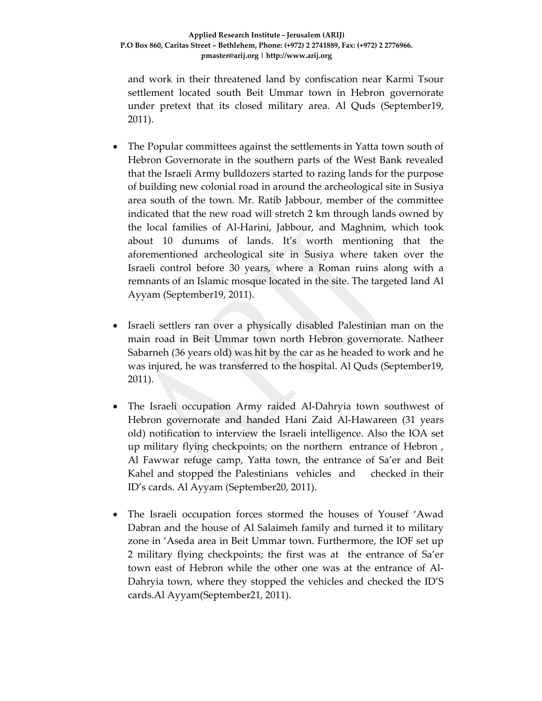and work in their threatened land by confiscation near Karmi Tsour settlement located south Beit Ummar town in Hebron governorate under pretext that its closed military area. Al Quds (September19, 2011).

- The Popular committees against the settlements in Yatta town south of Hebron Governorate in the southern parts of the West Bank revealed that the Israeli Army bulldozers started to razing lands for the purpose of building new colonial road in around the archeological site in Susiya area south of the town. Mr. Ratib Jabbour, member of the committee indicated that the new road will stretch 2 km through lands owned by the local families of Al‐Harini, Jabbour, and Maghnim, which took about 10 dunums of lands. It's worth mentioning that the aforementioned archeological site in Susiya where taken over the Israeli control before 30 years, where a Roman ruins along with a remnants of an Islamic mosque located in the site. The targeted land Al Ayyam (September19, 2011).
- Israeli settlers ran over a physically disabled Palestinian man on the main road in Beit Ummar town north Hebron governorate. Natheer Sabarneh (36 years old) was hit by the car as he headed to work and he was injured, he was transferred to the hospital. Al Quds (September19, 2011).
- The Israeli occupation Army raided Al-Dahryia town southwest of Hebron governorate and handed Hani Zaid Al-Hawareen (31 years old) notification to interview the Israeli intelligence. Also the IOA set up military flying checkpoints; on the northern entrance of Hebron , Al Fawwar refuge camp, Yatta town, the entrance of Sa'er and Beit Kahel and stopped the Palestinians vehicles and checked in their ID's cards. Al Ayyam (September20, 2011).
- The Israeli occupation forces stormed the houses of Yousef 'Awad Dabran and the house of Al Salaimeh family and turned it to military zone in 'Aseda area in Beit Ummar town. Furthermore, the IOF set up 2 military flying checkpoints; the first was at the entrance of Sa'er town east of Hebron while the other one was at the entrance of Al‐ Dahryia town, where they stopped the vehicles and checked the ID'S cards.Al Ayyam(September21, 2011).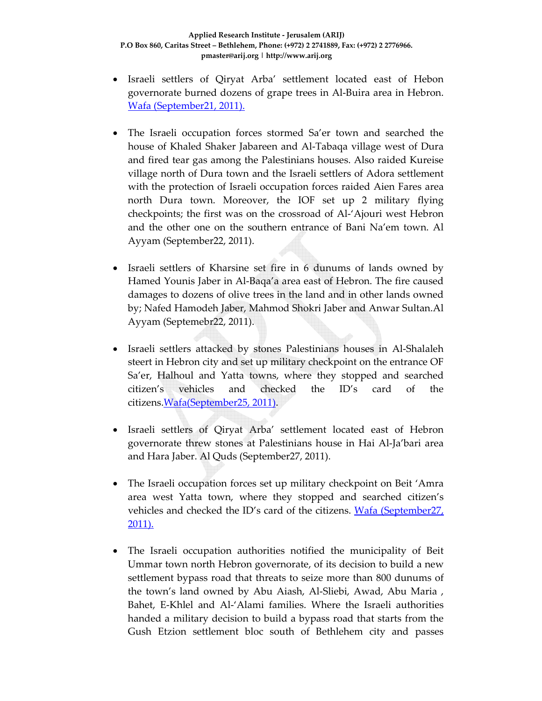- Israeli settlers of Qiryat Arba' settlement located east of Hebon governorate burned dozens of grape trees in Al‐Buira area in Hebron. Wafa (September21, 2011).
- The Israeli occupation forces stormed Sa'er town and searched the house of Khaled Shaker Jabareen and Al‐Tabaqa village west of Dura and fired tear gas among the Palestinians houses. Also raided Kureise village north of Dura town and the Israeli settlers of Adora settlement with the protection of Israeli occupation forces raided Aien Fares area north Dura town. Moreover, the IOF set up 2 military flying checkpoints; the first was on the crossroad of Al‐'Ajouri west Hebron and the other one on the southern entrance of Bani Na'em town. Al Ayyam (September22, 2011).
- Israeli settlers of Kharsine set fire in 6 dunums of lands owned by Hamed Younis Jaber in Al‐Baqa'a area east of Hebron. The fire caused damages to dozens of olive trees in the land and in other lands owned by; Nafed Hamodeh Jaber, Mahmod Shokri Jaber and Anwar Sultan.Al Ayyam (Septemebr22, 2011).
- Israeli settlers attacked by stones Palestinians houses in Al‐Shalaleh steert in Hebron city and set up military checkpoint on the entrance OF Sa'er, Halhoul and Yatta towns, where they stopped and searched citizen's vehicles and checked the ID's card of the citizens.Wafa(September25, 2011).
- Israeli settlers of Qiryat Arba' settlement located east of Hebron governorate threw stones at Palestinians house in Hai Al‐Ja'bari area and Hara Jaber. Al Quds (September27, 2011).
- The Israeli occupation forces set up military checkpoint on Beit 'Amra area west Yatta town, where they stopped and searched citizen's vehicles and checked the ID's card of the citizens. Wafa (September27, 2011).
- The Israeli occupation authorities notified the municipality of Beit Ummar town north Hebron governorate, of its decision to build a new settlement bypass road that threats to seize more than 800 dunums of the town's land owned by Abu Aiash, Al‐Sliebi, Awad, Abu Maria , Bahet, E‐Khlel and Al‐'Alami families. Where the Israeli authorities handed a military decision to build a bypass road that starts from the Gush Etzion settlement bloc south of Bethlehem city and passes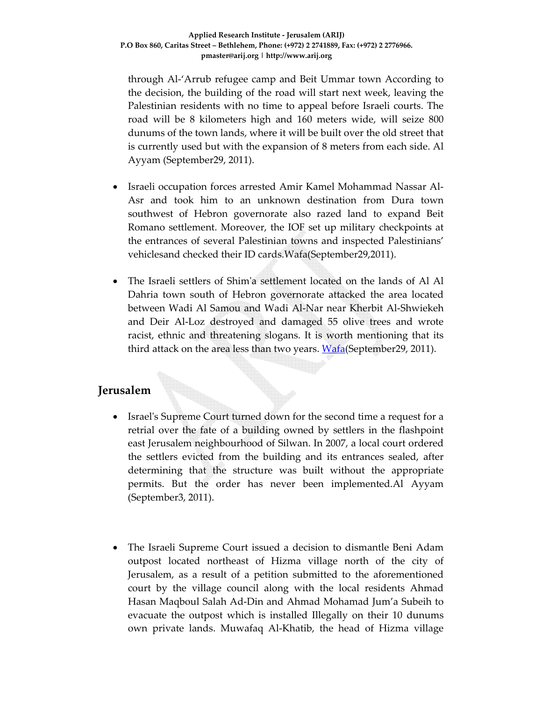through Al‐'Arrub refugee camp and Beit Ummar town According to the decision, the building of the road will start next week, leaving the Palestinian residents with no time to appeal before Israeli courts. The road will be 8 kilometers high and 160 meters wide, will seize 800 dunums of the town lands, where it will be built over the old street that is currently used but with the expansion of 8 meters from each side. Al Ayyam (September29, 2011).

- Israeli occupation forces arrested Amir Kamel Mohammad Nassar Al‐ Asr and took him to an unknown destination from Dura town southwest of Hebron governorate also razed land to expand Beit Romano settlement. Moreover, the IOF set up military checkpoints at the entrances of several Palestinian towns and inspected Palestinians' vehiclesand checked their ID cards.Wafa(September29,2011).
- The Israeli settlers of Shimʹa settlement located on the lands of Al Al Dahria town south of Hebron governorate attacked the area located between Wadi Al Samou and Wadi Al‐Nar near Kherbit Al‐Shwiekeh and Deir Al‐Loz destroyed and damaged 55 olive trees and wrote racist, ethnic and threatening slogans. It is worth mentioning that its third attack on the area less than two years. Wafa(September29, 2011).

### **Jerusalem**

- Israel's Supreme Court turned down for the second time a request for a retrial over the fate of a building owned by settlers in the flashpoint east Jerusalem neighbourhood of Silwan. In 2007, a local court ordered the settlers evicted from the building and its entrances sealed, after determining that the structure was built without the appropriate permits. But the order has never been implemented.Al Ayyam (September3, 2011).
- The Israeli Supreme Court issued a decision to dismantle Beni Adam outpost located northeast of Hizma village north of the city of Jerusalem, as a result of a petition submitted to the aforementioned court by the village council along with the local residents Ahmad Hasan Maqboul Salah Ad‐Din and Ahmad Mohamad Jum'a Subeih to evacuate the outpost which is installed Illegally on their 10 dunums own private lands. Muwafaq Al‐Khatib, the head of Hizma village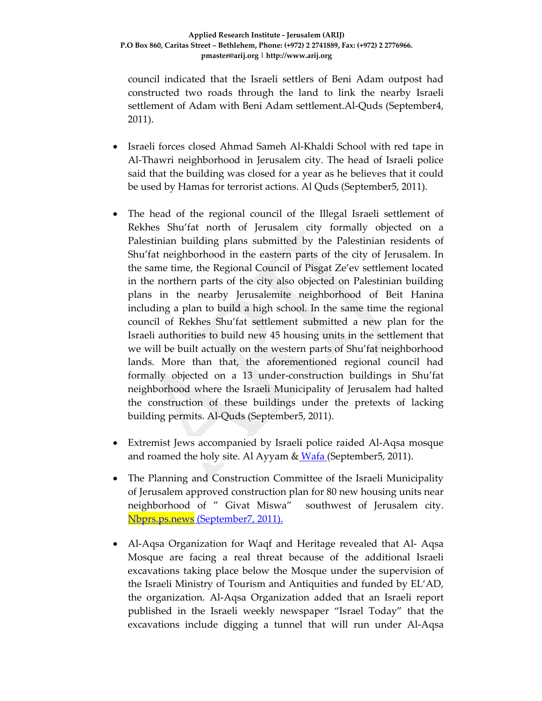council indicated that the Israeli settlers of Beni Adam outpost had constructed two roads through the land to link the nearby Israeli settlement of Adam with Beni Adam settlement.Al‐Quds (September4, 2011).

- Israeli forces closed Ahmad Sameh Al‐Khaldi School with red tape in Al‐Thawri neighborhood in Jerusalem city. The head of Israeli police said that the building was closed for a year as he believes that it could be used by Hamas for terrorist actions. Al Quds (September5, 2011).
- The head of the regional council of the Illegal Israeli settlement of Rekhes Shu'fat north of Jerusalem city formally objected on a Palestinian building plans submitted by the Palestinian residents of Shu'fat neighborhood in the eastern parts of the city of Jerusalem. In the same time, the Regional Council of Pisgat Ze'ev settlement located in the northern parts of the city also objected on Palestinian building plans in the nearby Jerusalemite neighborhood of Beit Hanina including a plan to build a high school. In the same time the regional council of Rekhes Shu'fat settlement submitted a new plan for the Israeli authorities to build new 45 housing units in the settlement that we will be built actually on the western parts of Shu'fat neighborhood lands. More than that, the aforementioned regional council had formally objected on a 13 under‐construction buildings in Shu'fat neighborhood where the Israeli Municipality of Jerusalem had halted the construction of these buildings under the pretexts of lacking building permits. Al‐Quds (September5, 2011).
- Extremist Jews accompanied by Israeli police raided Al-Aqsa mosque and roamed the holy site. Al Ayyam & Wafa (September5, 2011).
- The Planning and Construction Committee of the Israeli Municipality of Jerusalem approved construction plan for 80 new housing units near neighborhood of " Givat Miswa" southwest of Jerusalem city. Nbprs.ps.news (September7, 2011).
- Al-Aqsa Organization for Waqf and Heritage revealed that Al-Aqsa Mosque are facing a real threat because of the additional Israeli excavations taking place below the Mosque under the supervision of the Israeli Ministry of Tourism and Antiquities and funded by EL'AD, the organization. Al‐Aqsa Organization added that an Israeli report published in the Israeli weekly newspaper "Israel Today" that the excavations include digging a tunnel that will run under Al‐Aqsa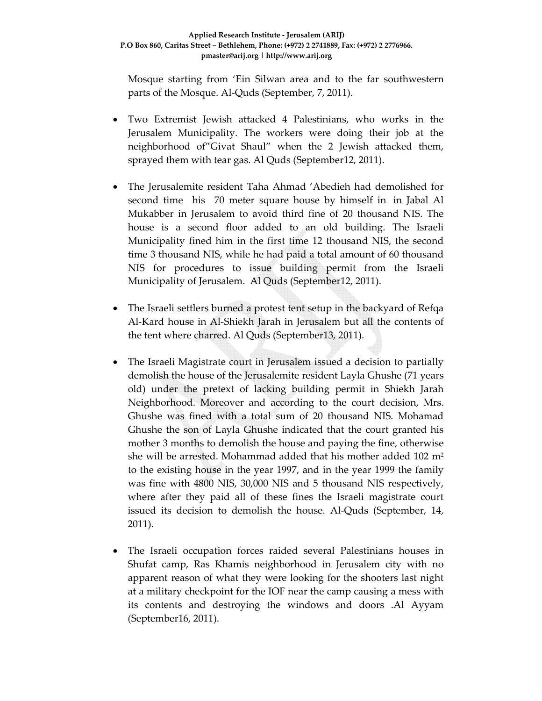Mosque starting from 'Ein Silwan area and to the far southwestern parts of the Mosque. Al‐Quds (September, 7, 2011).

- Two Extremist Jewish attacked 4 Palestinians, who works in the Jerusalem Municipality. The workers were doing their job at the neighborhood of"Givat Shaul" when the 2 Jewish attacked them, sprayed them with tear gas. Al Quds (September12, 2011).
- The Jerusalemite resident Taha Ahmad 'Abedieh had demolished for second time his 70 meter square house by himself in in Jabal Al Mukabber in Jerusalem to avoid third fine of 20 thousand NIS. The house is a second floor added to an old building. The Israeli Municipality fined him in the first time 12 thousand NIS, the second time 3 thousand NIS, while he had paid a total amount of 60 thousand NIS for procedures to issue building permit from the Israeli Municipality of Jerusalem. Al Quds (September12, 2011).
- The Israeli settlers burned a protest tent setup in the backyard of Refqa Al‐Kard house in Al‐Shiekh Jarah in Jerusalem but all the contents of the tent where charred. Al Quds (September13, 2011).
- The Israeli Magistrate court in Jerusalem issued a decision to partially demolish the house of the Jerusalemite resident Layla Ghushe (71 years old) under the pretext of lacking building permit in Shiekh Jarah Neighborhood. Moreover and according to the court decision, Mrs. Ghushe was fined with a total sum of 20 thousand NIS. Mohamad Ghushe the son of Layla Ghushe indicated that the court granted his mother 3 months to demolish the house and paying the fine, otherwise she will be arrested. Mohammad added that his mother added  $102 \text{ m}^2$ to the existing house in the year 1997, and in the year 1999 the family was fine with 4800 NIS, 30,000 NIS and 5 thousand NIS respectively, where after they paid all of these fines the Israeli magistrate court issued its decision to demolish the house. Al‐Quds (September, 14, 2011).
- The Israeli occupation forces raided several Palestinians houses in Shufat camp, Ras Khamis neighborhood in Jerusalem city with no apparent reason of what they were looking for the shooters last night at a military checkpoint for the IOF near the camp causing a mess with its contents and destroying the windows and doors .Al Ayyam (September16, 2011).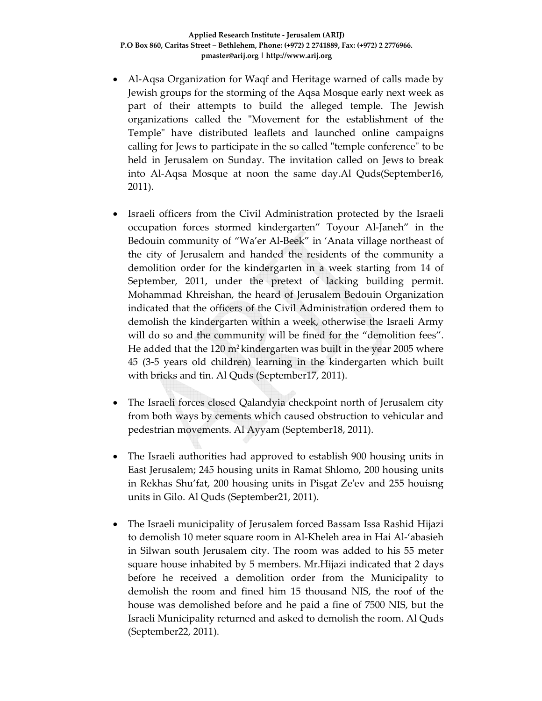- Al‐Aqsa Organization for Waqf and Heritage warned of calls made by Jewish groups for the storming of the Aqsa Mosque early next week as part of their attempts to build the alleged temple. The Jewish organizations called the "Movement for the establishment of the Temple" have distributed leaflets and launched online campaigns calling for Jews to participate in the so called "temple conference" to be held in Jerusalem on Sunday. The invitation called on Jews to break into Al‐Aqsa Mosque at noon the same day.Al Quds(September16, 2011).
- Israeli officers from the Civil Administration protected by the Israeli occupation forces stormed kindergarten" Toyour Al‐Janeh" in the Bedouin community of "Wa'er Al‐Beek" in 'Anata village northeast of the city of Jerusalem and handed the residents of the community a demolition order for the kindergarten in a week starting from 14 of September, 2011, under the pretext of lacking building permit. Mohammad Khreishan, the heard of Jerusalem Bedouin Organization indicated that the officers of the Civil Administration ordered them to demolish the kindergarten within a week, otherwise the Israeli Army will do so and the community will be fined for the "demolition fees". He added that the 120 m2 kindergarten was built in the year 2005 where 45 (3‐5 years old children) learning in the kindergarten which built with bricks and tin. Al Quds (September17, 2011).
- The Israeli forces closed Qalandyia checkpoint north of Jerusalem city from both ways by cements which caused obstruction to vehicular and pedestrian movements. Al Ayyam (September18, 2011).
- The Israeli authorities had approved to establish 900 housing units in East Jerusalem; 245 housing units in Ramat Shlomo, 200 housing units in Rekhas Shu'fat, 200 housing units in Pisgat Zeʹev and 255 houisng units in Gilo. Al Quds (September21, 2011).
- The Israeli municipality of Jerusalem forced Bassam Issa Rashid Hijazi to demolish 10 meter square room in Al‐Kheleh area in Hai Al‐'abasieh in Silwan south Jerusalem city. The room was added to his 55 meter square house inhabited by 5 members. Mr.Hijazi indicated that 2 days before he received a demolition order from the Municipality to demolish the room and fined him 15 thousand NIS, the roof of the house was demolished before and he paid a fine of 7500 NIS, but the Israeli Municipality returned and asked to demolish the room. Al Quds (September22, 2011).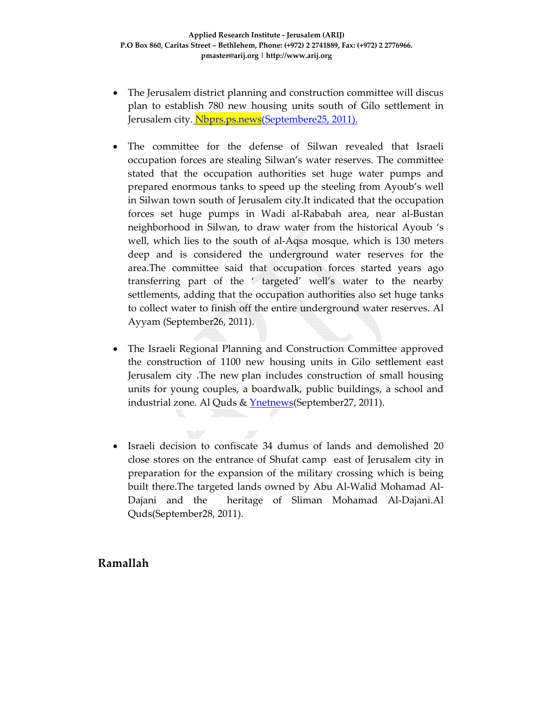- The Jerusalem district planning and construction committee will discus plan to establish 780 new housing units south of Gilo settlement in Jerusalem city. Nbprs.ps.news(Septembere25, 2011).
- The committee for the defense of Silwan revealed that Israeli occupation forces are stealing Silwan's water reserves. The committee stated that the occupation authorities set huge water pumps and prepared enormous tanks to speed up the steeling from Ayoub's well in Silwan town south of Jerusalem city.It indicated that the occupation forces set huge pumps in Wadi al‐Rababah area, near al‐Bustan neighborhood in Silwan, to draw water from the historical Ayoub 's well, which lies to the south of al‐Aqsa mosque, which is 130 meters deep and is considered the underground water reserves for the area.The committee said that occupation forces started years ago transferring part of the ' targeted' well's water to the nearby settlements, adding that the occupation authorities also set huge tanks to collect water to finish off the entire underground water reserves. Al Ayyam (September26, 2011).
- The Israeli Regional Planning and Construction Committee approved the construction of 1100 new housing units in Gilo settlement east Jerusalem city .The new plan includes construction of small housing units for young couples, a boardwalk, public buildings, a school and industrial zone. Al Quds & **Ynetnews** (September 27, 2011).
- Israeli decision to confiscate 34 dumus of lands and demolished 20 close stores on the entrance of Shufat camp east of Jerusalem city in preparation for the expansion of the military crossing which is being built there.The targeted lands owned by Abu Al‐Walid Mohamad Al‐ Dajani and the heritage of Sliman Mohamad Al‐Dajani.Al Quds(September28, 2011).

F

W

### **Ramallah**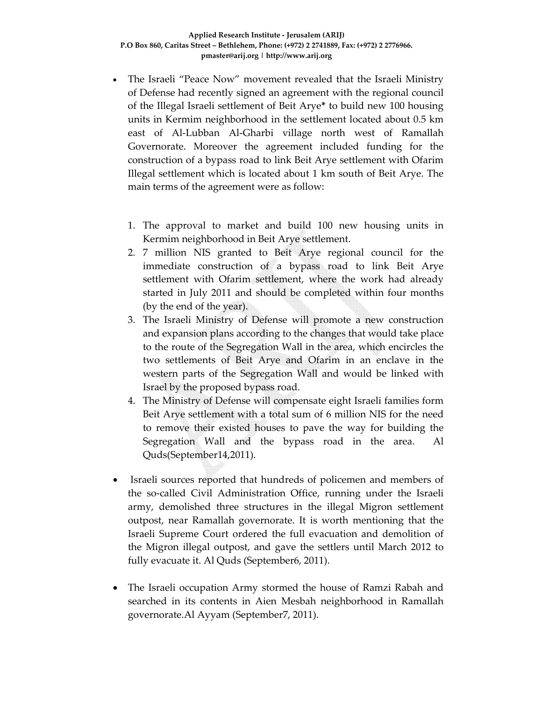- The Israeli "Peace Now" movement revealed that the Israeli Ministry of Defense had recently signed an agreement with the regional council of the Illegal Israeli settlement of Beit Arye**\*** to build new 100 housing units in Kermim neighborhood in the settlement located about 0.5 km east of Al-Lubban Al-Gharbi village north west of Ramallah Governorate. Moreover the agreement included funding for the construction of a bypass road to link Beit Arye settlement with Ofarim Illegal settlement which is located about 1 km south of Beit Arye. The main terms of the agreement were as follow:
	- 1. The approval to market and build 100 new housing units in Kermim neighborhood in Beit Arye settlement.
	- 2. 7 million NIS granted to Beit Arye regional council for the immediate construction of a bypass road to link Beit Arye settlement with Ofarim settlement, where the work had already started in July 2011 and should be completed within four months (by the end of the year).
	- 3. The Israeli Ministry of Defense will promote a new construction and expansion plans according to the changes that would take place to the route of the Segregation Wall in the area, which encircles the two settlements of Beit Arye and Ofarim in an enclave in the western parts of the Segregation Wall and would be linked with Israel by the proposed bypass road.
	- 4. The Ministry of Defense will compensate eight Israeli families form Beit Arye settlement with a total sum of 6 million NIS for the need to remove their existed houses to pave the way for building the Segregation Wall and the bypass road in the area. Al Quds(September14,2011).
- Israeli sources reported that hundreds of policemen and members of the so-called Civil Administration Office, running under the Israeli army, demolished three structures in the illegal Migron settlement outpost, near Ramallah governorate. It is worth mentioning that the Israeli Supreme Court ordered the full evacuation and demolition of the Migron illegal outpost, and gave the settlers until March 2012 to fully evacuate it. Al Quds (September6, 2011).
- The Israeli occupation Army stormed the house of Ramzi Rabah and searched in its contents in Aien Mesbah neighborhood in Ramallah governorate.Al Ayyam (September7, 2011).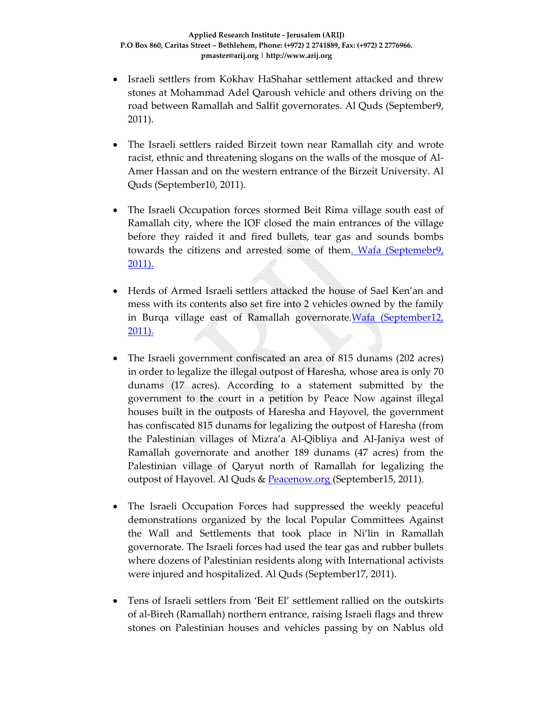- Israeli settlers from Kokhav HaShahar settlement attacked and threw stones at Mohammad Adel Qaroush vehicle and others driving on the road between Ramallah and Salfit governorates. Al Quds (September9, 2011).
- The Israeli settlers raided Birzeit town near Ramallah city and wrote racist, ethnic and threatening slogans on the walls of the mosque of Al‐ Amer Hassan and on the western entrance of the Birzeit University. Al Quds (September10, 2011).
- The Israeli Occupation forces stormed Beit Rima village south east of Ramallah city, where the IOF closed the main entrances of the village before they raided it and fired bullets, tear gas and sounds bombs towards the citizens and arrested some of them. Wafa (Septemebr9, 2011).
- Herds of Armed Israeli settlers attacked the house of Sael Ken'an and mess with its contents also set fire into 2 vehicles owned by the family in Burqa village east of Ramallah governorate. Wafa (September12, 2011).
- The Israeli government confiscated an area of 815 dunams (202 acres) in order to legalize the illegal outpost of Haresha, whose area is only 70 dunams (17 acres). According to a statement submitted by the government to the court in a petition by Peace Now against illegal houses built in the outposts of Haresha and Hayovel, the government has confiscated 815 dunams for legalizing the outpost of Haresha (from the Palestinian villages of Mizra'a Al‐Qibliya and Al‐Janiya west of Ramallah governorate and another 189 dunams (47 acres) from the Palestinian village of Qaryut north of Ramallah for legalizing the outpost of Hayovel. Al Quds & Peacenow.org (September15, 2011).
- The Israeli Occupation Forces had suppressed the weekly peaceful demonstrations organized by the local Popular Committees Against the Wall and Settlements that took place in Ni'lin in Ramallah governorate. The Israeli forces had used the tear gas and rubber bullets where dozens of Palestinian residents along with International activists were injured and hospitalized. Al Quds (September17, 2011).
- Tens of Israeli settlers from 'Beit El' settlement rallied on the outskirts of al‐Bireh (Ramallah) northern entrance, raising Israeli flags and threw stones on Palestinian houses and vehicles passing by on Nablus old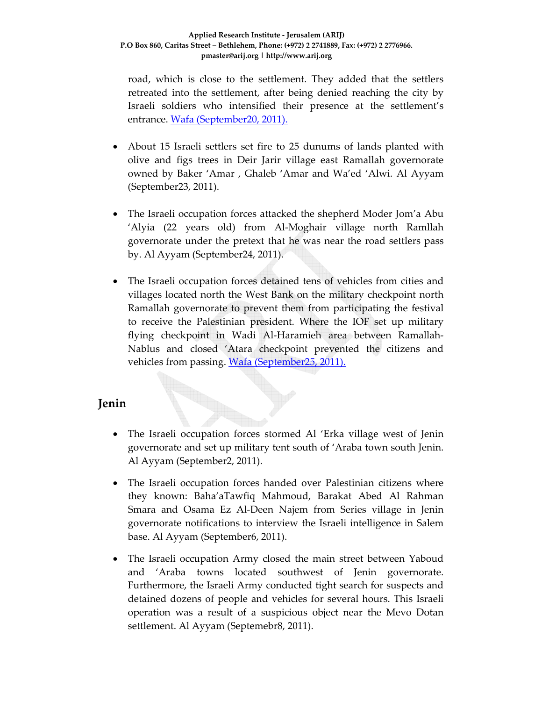road, which is close to the settlement. They added that the settlers retreated into the settlement, after being denied reaching the city by Israeli soldiers who intensified their presence at the settlement's entrance. Wafa (September20, 2011).

- About 15 Israeli settlers set fire to 25 dunums of lands planted with olive and figs trees in Deir Jarir village east Ramallah governorate owned by Baker 'Amar , Ghaleb 'Amar and Wa'ed 'Alwi. Al Ayyam (September23, 2011).
- The Israeli occupation forces attacked the shepherd Moder Jom'a Abu 'Alyia (22 years old) from Al‐Moghair village north Ramllah governorate under the pretext that he was near the road settlers pass by. Al Ayyam (September24, 2011).
- The Israeli occupation forces detained tens of vehicles from cities and villages located north the West Bank on the military checkpoint north Ramallah governorate to prevent them from participating the festival to receive the Palestinian president. Where the IOF set up military flying checkpoint in Wadi Al‐Haramieh area between Ramallah‐ Nablus and closed 'Atara checkpoint prevented the citizens and vehicles from passing. Wafa (September25, 2011).

### **Jenin**

- The Israeli occupation forces stormed Al 'Erka village west of Jenin governorate and set up military tent south of 'Araba town south Jenin. Al Ayyam (September2, 2011).
- The Israeli occupation forces handed over Palestinian citizens where they known: Baha'aTawfiq Mahmoud, Barakat Abed Al Rahman Smara and Osama Ez Al‐Deen Najem from Series village in Jenin governorate notifications to interview the Israeli intelligence in Salem base. Al Ayyam (September6, 2011).
- The Israeli occupation Army closed the main street between Yaboud and 'Araba towns located southwest of Jenin governorate. Furthermore, the Israeli Army conducted tight search for suspects and detained dozens of people and vehicles for several hours. This Israeli operation was a result of a suspicious object near the Mevo Dotan settlement. Al Ayyam (Septemebr8, 2011).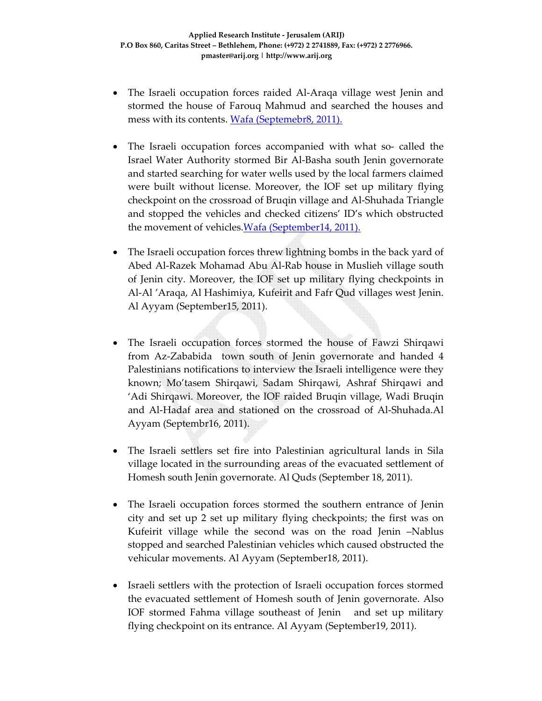- The Israeli occupation forces raided Al-Araqa village west Jenin and stormed the house of Farouq Mahmud and searched the houses and mess with its contents. Wafa (Septemebr8, 2011).
- The Israeli occupation forces accompanied with what so- called the Israel Water Authority stormed Bir Al‐Basha south Jenin governorate and started searching for water wells used by the local farmers claimed were built without license. Moreover, the IOF set up military flying checkpoint on the crossroad of Bruqin village and Al‐Shuhada Triangle and stopped the vehicles and checked citizens' ID's which obstructed the movement of vehicles.Wafa (September14, 2011).
- The Israeli occupation forces threw lightning bombs in the back yard of Abed Al‐Razek Mohamad Abu Al‐Rab house in Muslieh village south of Jenin city. Moreover, the IOF set up military flying checkpoints in Al‐Al 'Araqa, Al Hashimiya, Kufeirit and Fafr Qud villages west Jenin. Al Ayyam (September15, 2011).
- The Israeli occupation forces stormed the house of Fawzi Shirqawi from Az-Zababida town south of Jenin governorate and handed 4 Palestinians notifications to interview the Israeli intelligence were they known; Mo'tasem Shirqawi, Sadam Shirqawi, Ashraf Shirqawi and 'Adi Shirqawi. Moreover, the IOF raided Bruqin village, Wadi Bruqin and Al‐Hadaf area and stationed on the crossroad of Al‐Shuhada.Al Ayyam (Septembr16, 2011).
- The Israeli settlers set fire into Palestinian agricultural lands in Sila village located in the surrounding areas of the evacuated settlement of Homesh south Jenin governorate. Al Quds (September 18, 2011).
- The Israeli occupation forces stormed the southern entrance of Jenin city and set up 2 set up military flying checkpoints; the first was on Kufeirit village while the second was on the road Jenin –Nablus stopped and searched Palestinian vehicles which caused obstructed the vehicular movements. Al Ayyam (September18, 2011).
- Israeli settlers with the protection of Israeli occupation forces stormed the evacuated settlement of Homesh south of Jenin governorate. Also IOF stormed Fahma village southeast of Jenin and set up military flying checkpoint on its entrance. Al Ayyam (September19, 2011).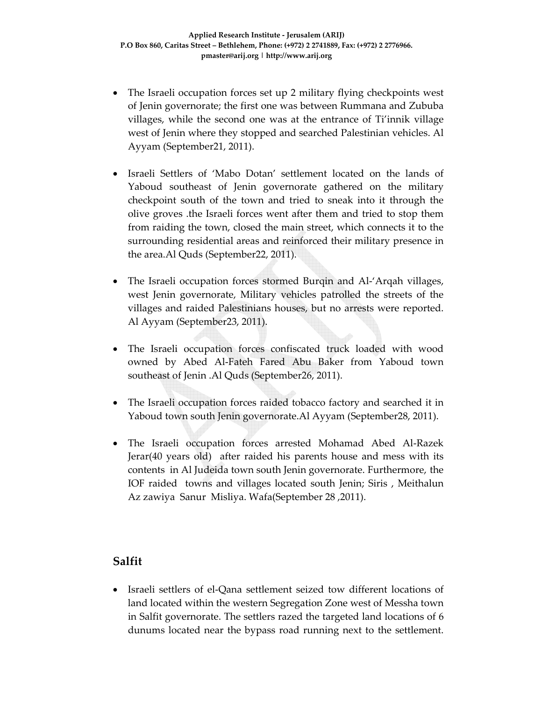- The Israeli occupation forces set up 2 military flying checkpoints west of Jenin governorate; the first one was between Rummana and Zububa villages, while the second one was at the entrance of Ti'innik village west of Jenin where they stopped and searched Palestinian vehicles. Al Ayyam (September21, 2011).
- Israeli Settlers of 'Mabo Dotan' settlement located on the lands of Yaboud southeast of Jenin governorate gathered on the military checkpoint south of the town and tried to sneak into it through the olive groves .the Israeli forces went after them and tried to stop them from raiding the town, closed the main street, which connects it to the surrounding residential areas and reinforced their military presence in the area.Al Quds (September22, 2011).
- The Israeli occupation forces stormed Burqin and Al‐'Arqah villages, west Jenin governorate, Military vehicles patrolled the streets of the villages and raided Palestinians houses, but no arrests were reported. Al Ayyam (September23, 2011).
- The Israeli occupation forces confiscated truck loaded with wood owned by Abed Al‐Fateh Fared Abu Baker from Yaboud town southeast of Jenin .Al Quds (September26, 2011).
- The Israeli occupation forces raided tobacco factory and searched it in Yaboud town south Jenin governorate.Al Ayyam (September28, 2011).
- The Israeli occupation forces arrested Mohamad Abed Al‐Razek Jerar(40 years old) after raided his parents house and mess with its contents in Al Judeida town south Jenin governorate. Furthermore, the IOF raided towns and villages located south Jenin; Siris , Meithalun Az zawiya Sanur Misliya. Wafa(September 28 ,2011).

### **Salfit**

• Israeli settlers of el‐Qana settlement seized tow different locations of land located within the western Segregation Zone west of Messha town in Salfit governorate. The settlers razed the targeted land locations of 6 dunums located near the bypass road running next to the settlement.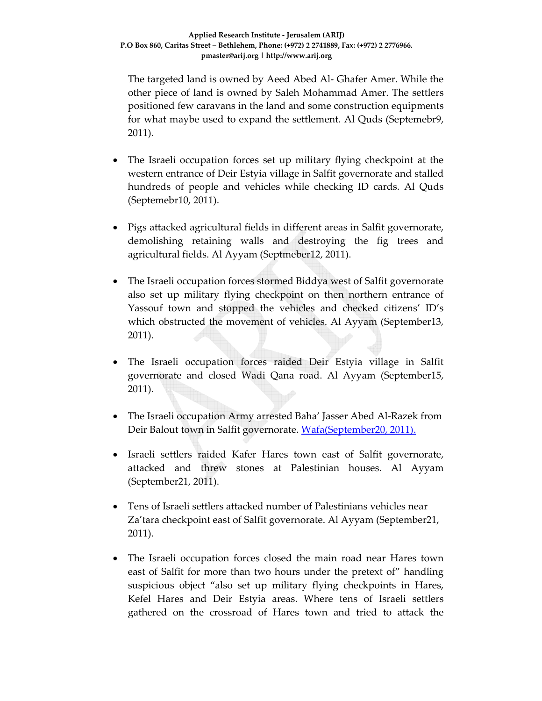The targeted land is owned by Aeed Abed Al‐ Ghafer Amer. While the other piece of land is owned by Saleh Mohammad Amer. The settlers positioned few caravans in the land and some construction equipments for what maybe used to expand the settlement. Al Quds (Septemebr9, 2011).

- The Israeli occupation forces set up military flying checkpoint at the western entrance of Deir Estyia village in Salfit governorate and stalled hundreds of people and vehicles while checking ID cards. Al Quds (Septemebr10, 2011).
- Pigs attacked agricultural fields in different areas in Salfit governorate, demolishing retaining walls and destroying the fig trees and agricultural fields. Al Ayyam (Septmeber12, 2011).
- The Israeli occupation forces stormed Biddya west of Salfit governorate also set up military flying checkpoint on then northern entrance of Yassouf town and stopped the vehicles and checked citizens' ID's which obstructed the movement of vehicles. Al Ayyam (September13, 2011).
- The Israeli occupation forces raided Deir Estyia village in Salfit governorate and closed Wadi Qana road. Al Ayyam (September15, 2011).
- The Israeli occupation Army arrested Baha' Jasser Abed Al-Razek from Deir Balout town in Salfit governorate. Wafa(September20, 2011).
- Israeli settlers raided Kafer Hares town east of Salfit governorate, attacked and threw stones at Palestinian houses. Al Ayyam (September21, 2011).
- Tens of Israeli settlers attacked number of Palestinians vehicles near Za'tara checkpoint east of Salfit governorate. Al Ayyam (September21, 2011).
- The Israeli occupation forces closed the main road near Hares town east of Salfit for more than two hours under the pretext of" handling suspicious object "also set up military flying checkpoints in Hares, Kefel Hares and Deir Estyia areas. Where tens of Israeli settlers gathered on the crossroad of Hares town and tried to attack the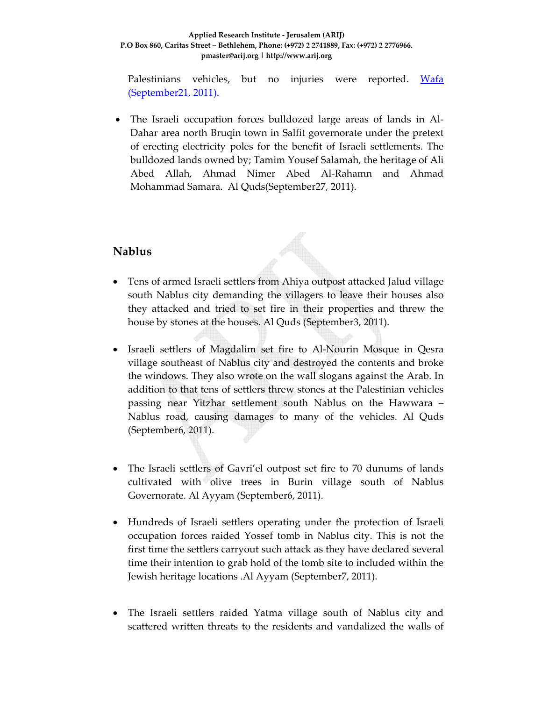#### **Applied Research Institute ‐ Jerusalem (ARIJ) P.O Box 860, Caritas Street – Bethlehem, Phone: (+972) 2 2741889, Fax: (+972) 2 2776966. pmaster@arij.org | http://www.arij.org**

Palestinians vehicles, but no injuries were reported. Wafa (September21, 2011).

The Israeli occupation forces bulldozed large areas of lands in Al-Dahar area north Bruqin town in Salfit governorate under the pretext of erecting electricity poles for the benefit of Israeli settlements. The bulldozed lands owned by; Tamim Yousef Salamah, the heritage of Ali Abed Allah, Ahmad Nimer Abed Al‐Rahamn and Ahmad Mohammad Samara. Al Quds(September27, 2011).

#### **Nablus**

- Tens of armed Israeli settlers from Ahiya outpost attacked Jalud village south Nablus city demanding the villagers to leave their houses also they attacked and tried to set fire in their properties and threw the house by stones at the houses. Al Quds (September3, 2011).
- Israeli settlers of Magdalim set fire to Al-Nourin Mosque in Qesra village southeast of Nablus city and destroyed the contents and broke the windows. They also wrote on the wall slogans against the Arab. In addition to that tens of settlers threw stones at the Palestinian vehicles passing near Yitzhar settlement south Nablus on the Hawwara – Nablus road, causing damages to many of the vehicles. Al Quds (September6, 2011).
- The Israeli settlers of Gavri'el outpost set fire to 70 dunums of lands cultivated with olive trees in Burin village south of Nablus Governorate. Al Ayyam (September6, 2011).
- Hundreds of Israeli settlers operating under the protection of Israeli occupation forces raided Yossef tomb in Nablus city. This is not the first time the settlers carryout such attack as they have declared several time their intention to grab hold of the tomb site to included within the Jewish heritage locations .Al Ayyam (September7, 2011).
- The Israeli settlers raided Yatma village south of Nablus city and scattered written threats to the residents and vandalized the walls of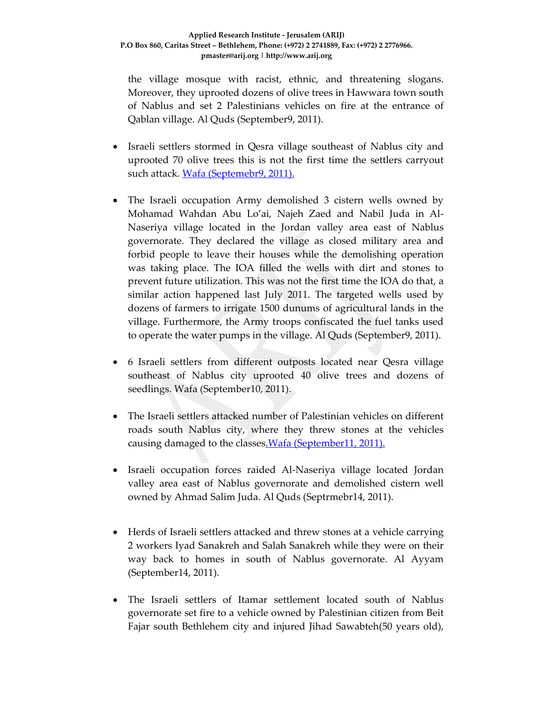the village mosque with racist, ethnic, and threatening slogans. Moreover, they uprooted dozens of olive trees in Hawwara town south of Nablus and set 2 Palestinians vehicles on fire at the entrance of Qablan village. Al Quds (September9, 2011).

- Israeli settlers stormed in Qesra village southeast of Nablus city and uprooted 70 olive trees this is not the first time the settlers carryout such attack. Wafa (Septemebr9, 2011).
- The Israeli occupation Army demolished 3 cistern wells owned by Mohamad Wahdan Abu Lo'ai, Najeh Zaed and Nabil Juda in Al‐ Naseriya village located in the Jordan valley area east of Nablus governorate. They declared the village as closed military area and forbid people to leave their houses while the demolishing operation was taking place. The IOA filled the wells with dirt and stones to prevent future utilization. This was not the first time the IOA do that, a similar action happened last July 2011. The targeted wells used by dozens of farmers to irrigate 1500 dunums of agricultural lands in the village. Furthermore, the Army troops confiscated the fuel tanks used to operate the water pumps in the village. Al Quds (September9, 2011).
- 6 Israeli settlers from different outposts located near Qesra village southeast of Nablus city uprooted 40 olive trees and dozens of seedlings. Wafa (September10, 2011).
- The Israeli settlers attacked number of Palestinian vehicles on different roads south Nablus city, where they threw stones at the vehicles causing damaged to the classes.Wafa (September11, 2011).
- Israeli occupation forces raided Al-Naseriya village located Jordan valley area east of Nablus governorate and demolished cistern well owned by Ahmad Salim Juda. Al Quds (Septrmebr14, 2011).
- Herds of Israeli settlers attacked and threw stones at a vehicle carrying 2 workers Iyad Sanakreh and Salah Sanakreh while they were on their way back to homes in south of Nablus governorate. Al Ayyam (September14, 2011).
- The Israeli settlers of Itamar settlement located south of Nablus governorate set fire to a vehicle owned by Palestinian citizen from Beit Fajar south Bethlehem city and injured Jihad Sawabteh(50 years old),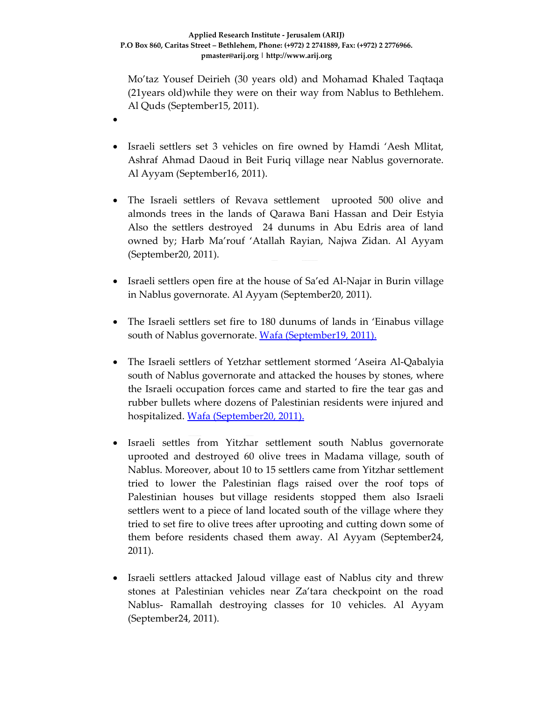•

Mo'taz Yousef Deirieh (30 years old) and Mohamad Khaled Taqtaqa (21years old)while they were on their way from Nablus to Bethlehem. Al Quds (September15, 2011).

- Israeli settlers set 3 vehicles on fire owned by Hamdi 'Aesh Mlitat, Ashraf Ahmad Daoud in Beit Furiq village near Nablus governorate. Al Ayyam (September16, 2011).
- The Israeli settlers of Revava settlement uprooted 500 olive and almonds trees in the lands of Qarawa Bani Hassan and Deir Estyia Also the settlers destroyed 24 dunums in Abu Edris area of land owned by; Harb Ma'rouf 'Atallah Rayian, Najwa Zidan. Al Ayyam (September20, 2011).
- Israeli settlers open fire at the house of Sa'ed Al-Najar in Burin village in Nablus governorate. Al Ayyam (September20, 2011).
- The Israeli settlers set fire to 180 dunums of lands in 'Einabus village south of Nablus governorate. Wafa (September19, 2011).
- The Israeli settlers of Yetzhar settlement stormed 'Aseira Al‐Qabalyia south of Nablus governorate and attacked the houses by stones, where the Israeli occupation forces came and started to fire the tear gas and rubber bullets where dozens of Palestinian residents were injured and hospitalized. Wafa (September20, 2011).
- Israeli settles from Yitzhar settlement south Nablus governorate uprooted and destroyed 60 olive trees in Madama village, south of Nablus. Moreover, about 10 to 15 settlers came from Yitzhar settlement tried to lower the Palestinian flags raised over the roof tops of Palestinian houses but village residents stopped them also Israeli settlers went to a piece of land located south of the village where they tried to set fire to olive trees after uprooting and cutting down some of them before residents chased them away. Al Ayyam (September24, 2011).
- Israeli settlers attacked Jaloud village east of Nablus city and threw stones at Palestinian vehicles near Za'tara checkpoint on the road Nablus‐ Ramallah destroying classes for 10 vehicles. Al Ayyam (September24, 2011).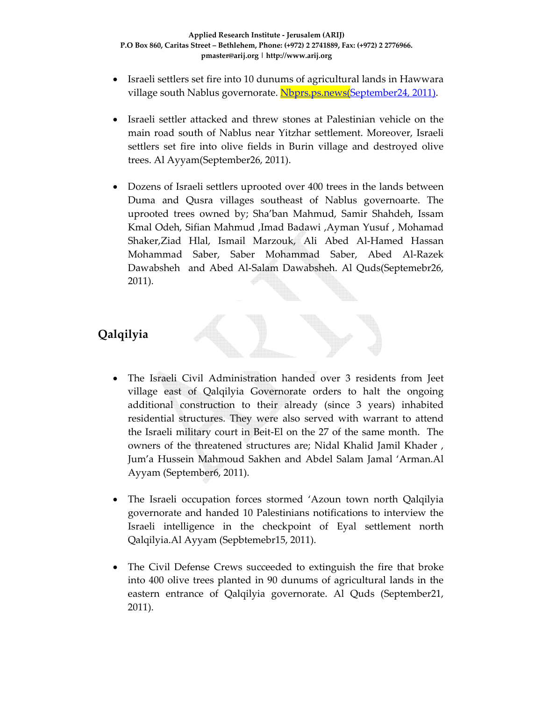- Israeli settlers set fire into 10 dunums of agricultural lands in Hawwara village south Nablus governorate. Nbprs.ps.news(September24, 2011).
- Israeli settler attacked and threw stones at Palestinian vehicle on the main road south of Nablus near Yitzhar settlement. Moreover, Israeli settlers set fire into olive fields in Burin village and destroyed olive trees. Al Ayyam(September26, 2011).
- Dozens of Israeli settlers uprooted over 400 trees in the lands between Duma and Qusra villages southeast of Nablus governoarte. The uprooted trees owned by; Sha'ban Mahmud, Samir Shahdeh, Issam Kmal Odeh, Sifian Mahmud ,Imad Badawi ,Ayman Yusuf , Mohamad Shaker,Ziad Hlal, Ismail Marzouk, Ali Abed Al‐Hamed Hassan Mohammad Saber, Saber Mohammad Saber, Abed Al‐Razek Dawabsheh and Abed Al-Salam Dawabsheh. Al Quds(Septemebr26, 2011).

# **Qalqilyia**

- The Israeli Civil Administration handed over 3 residents from Jeet village east of Qalqilyia Governorate orders to halt the ongoing additional construction to their already (since 3 years) inhabited residential structures. They were also served with warrant to attend the Israeli military court in Beit‐El on the 27 of the same month. The owners of the threatened structures are; Nidal Khalid Jamil Khader , Jum'a Hussein Mahmoud Sakhen and Abdel Salam Jamal 'Arman.Al Ayyam (September6, 2011).
- The Israeli occupation forces stormed 'Azoun town north Qalqilyia governorate and handed 10 Palestinians notifications to interview the Israeli intelligence in the checkpoint of Eyal settlement north Qalqilyia.Al Ayyam (Sepbtemebr15, 2011).
- The Civil Defense Crews succeeded to extinguish the fire that broke into 400 olive trees planted in 90 dunums of agricultural lands in the eastern entrance of Qalqilyia governorate. Al Quds (September21, 2011).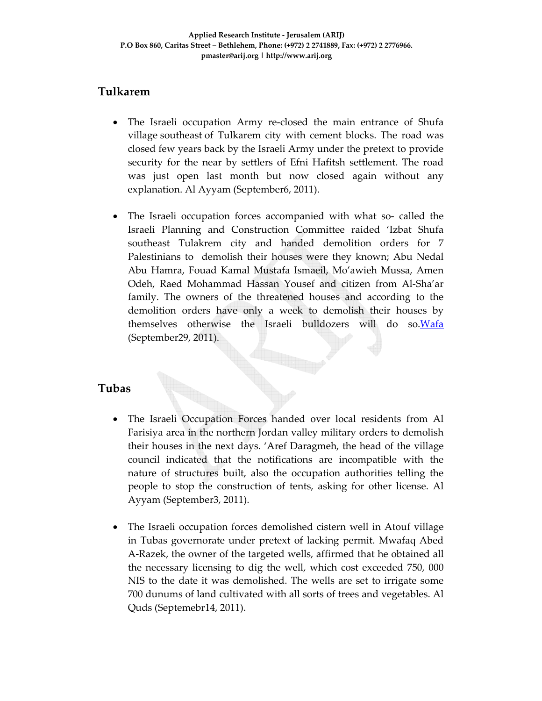## **Tulkarem**

- The Israeli occupation Army re-closed the main entrance of Shufa village southeast of Tulkarem city with cement blocks. The road was closed few years back by the Israeli Army under the pretext to provide security for the near by settlers of Efni Hafitsh settlement. The road was just open last month but now closed again without any explanation. Al Ayyam (September6, 2011).
- The Israeli occupation forces accompanied with what so- called the Israeli Planning and Construction Committee raided 'Izbat Shufa southeast Tulakrem city and handed demolition orders for 7 Palestinians to demolish their houses were they known; Abu Nedal Abu Hamra, Fouad Kamal Mustafa Ismaeil, Mo'awieh Mussa, Amen Odeh, Raed Mohammad Hassan Yousef and citizen from Al‐Sha'ar family. The owners of the threatened houses and according to the demolition orders have only a week to demolish their houses by themselves otherwise the Israeli bulldozers will do so.Wafa (September29, 2011).

### **Tubas**

- The Israeli Occupation Forces handed over local residents from Al Farisiya area in the northern Jordan valley military orders to demolish their houses in the next days. 'Aref Daragmeh, the head of the village council indicated that the notifications are incompatible with the nature of structures built, also the occupation authorities telling the people to stop the construction of tents, asking for other license. Al Ayyam (September3, 2011).
- The Israeli occupation forces demolished cistern well in Atouf village in Tubas governorate under pretext of lacking permit. Mwafaq Abed A‐Razek, the owner of the targeted wells, affirmed that he obtained all the necessary licensing to dig the well, which cost exceeded 750, 000 NIS to the date it was demolished. The wells are set to irrigate some 700 dunums of land cultivated with all sorts of trees and vegetables. Al Quds (Septemebr14, 2011).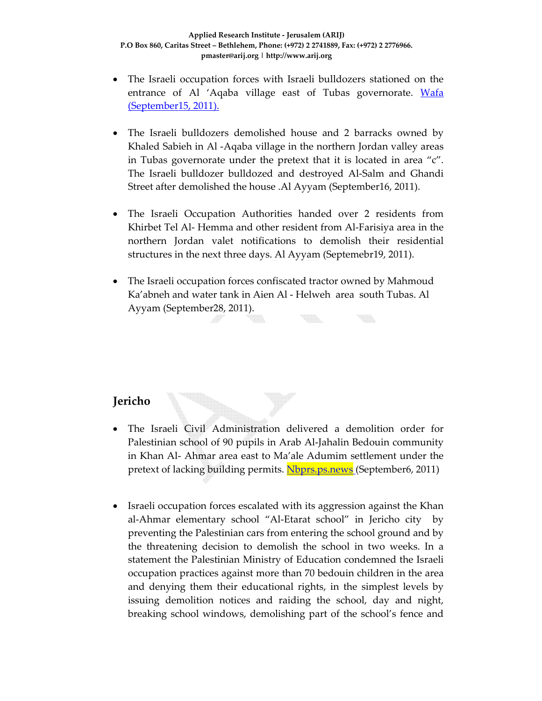- The Israeli occupation forces with Israeli bulldozers stationed on the entrance of Al 'Aqaba village east of Tubas governorate. Wafa (September15, 2011).
- The Israeli bulldozers demolished house and 2 barracks owned by Khaled Sabieh in Al ‐Aqaba village in the northern Jordan valley areas in Tubas governorate under the pretext that it is located in area "c". The Israeli bulldozer bulldozed and destroyed Al‐Salm and Ghandi Street after demolished the house .Al Ayyam (September16, 2011).
- The Israeli Occupation Authorities handed over 2 residents from Khirbet Tel Al- Hemma and other resident from Al-Farisiya area in the northern Jordan valet notifications to demolish their residential structures in the next three days. Al Ayyam (Septemebr19, 2011).
- The Israeli occupation forces confiscated tractor owned by Mahmoud Ka'abneh and water tank in Aien Al ‐ Helweh area south Tubas. Al Ayyam (September28, 2011).

### **Jericho**

- The Israeli Civil Administration delivered a demolition order for Palestinian school of 90 pupils in Arab Al‐Jahalin Bedouin community in Khan Al‐ Ahmar area east to Ma'ale Adumim settlement under the pretext of lacking building permits. Nbprs.ps.news (September6, 2011)
- Israeli occupation forces escalated with its aggression against the Khan al‐Ahmar elementary school "Al‐Etarat school" in Jericho city by preventing the Palestinian cars from entering the school ground and by the threatening decision to demolish the school in two weeks. In a statement the Palestinian Ministry of Education condemned the Israeli occupation practices against more than 70 bedouin children in the area and denying them their educational rights, in the simplest levels by issuing demolition notices and raiding the school, day and night, breaking school windows, demolishing part of the school's fence and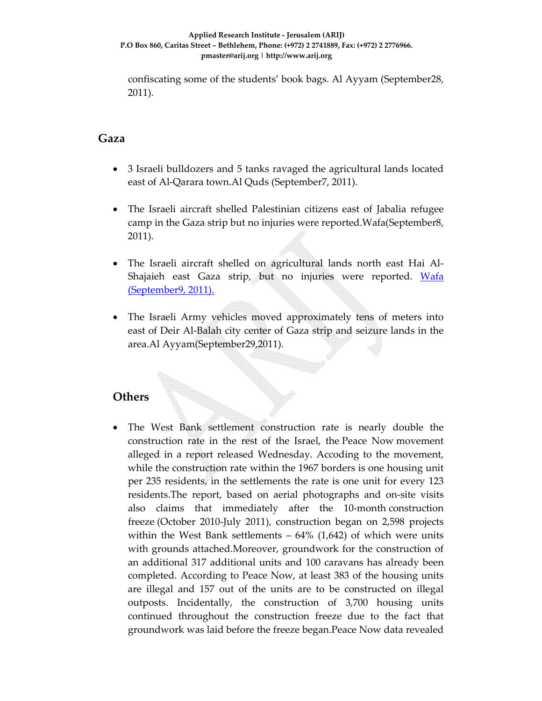confiscating some of the students' book bags. Al Ayyam (September28, 2011).

#### **Gaza**

- 3 Israeli bulldozers and 5 tanks ravaged the agricultural lands located east of Al‐Qarara town.Al Quds (September7, 2011).
- The Israeli aircraft shelled Palestinian citizens east of Jabalia refugee camp in the Gaza strip but no injuries were reported.Wafa(September8, 2011).
- The Israeli aircraft shelled on agricultural lands north east Hai Al‐ Shajaieh east Gaza strip, but no injuries were reported. Wafa (September9, 2011).
- The Israeli Army vehicles moved approximately tens of meters into east of Deir Al‐Balah city center of Gaza strip and seizure lands in the area.Al Ayyam(September29,2011).

### **Others**

The West Bank settlement construction rate is nearly double the construction rate in the rest of the Israel, the Peace Now movement alleged in a report released Wednesday. Accoding to the movement, while the construction rate within the 1967 borders is one housing unit per 235 residents, in the settlements the rate is one unit for every 123 residents.The report, based on aerial photographs and on‐site visits also claims that immediately after the 10‐month construction freeze (October 2010‐July 2011), construction began on 2,598 projects within the West Bank settlements  $-64\%$  (1,642) of which were units with grounds attached.Moreover, groundwork for the construction of an additional 317 additional units and 100 caravans has already been completed. According to Peace Now, at least 383 of the housing units are illegal and 157 out of the units are to be constructed on illegal outposts. Incidentally, the construction of 3,700 housing units continued throughout the construction freeze due to the fact that groundwork was laid before the freeze began.Peace Now data revealed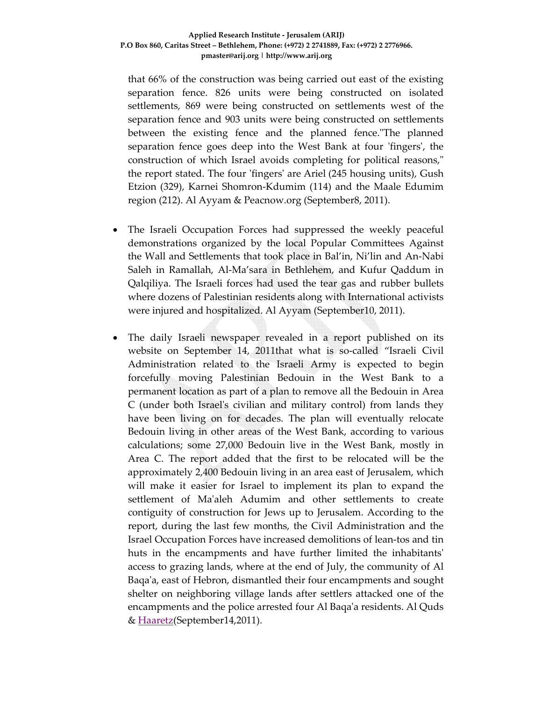that 66% of the construction was being carried out east of the existing separation fence. 826 units were being constructed on isolated settlements, 869 were being constructed on settlements west of the separation fence and 903 units were being constructed on settlements between the existing fence and the planned fence. The planned separation fence goes deep into the West Bank at four 'fingers', the construction of which Israel avoids completing for political reasons," the report stated. The four 'fingers' are Ariel (245 housing units), Gush Etzion (329), Karnei Shomron‐Kdumim (114) and the Maale Edumim region (212). Al Ayyam & Peacnow.org (September8, 2011).

- The Israeli Occupation Forces had suppressed the weekly peaceful demonstrations organized by the local Popular Committees Against the Wall and Settlements that took place in Bal'in, Ni'lin and An‐Nabi Saleh in Ramallah, Al‐Ma'sara in Bethlehem, and Kufur Qaddum in Qalqiliya. The Israeli forces had used the tear gas and rubber bullets where dozens of Palestinian residents along with International activists were injured and hospitalized. Al Ayyam (September10, 2011).
- The daily Israeli newspaper revealed in a report published on its website on September 14, 2011that what is so-called "Israeli Civil Administration related to the Israeli Army is expected to begin forcefully moving Palestinian Bedouin in the West Bank to a permanent location as part of a plan to remove all the Bedouin in Area C (under both Israelʹs civilian and military control) from lands they have been living on for decades. The plan will eventually relocate Bedouin living in other areas of the West Bank, according to various calculations; some 27,000 Bedouin live in the West Bank, mostly in Area C. The report added that the first to be relocated will be the approximately 2,400 Bedouin living in an area east of Jerusalem, which will make it easier for Israel to implement its plan to expand the settlement of Maʹaleh Adumim and other settlements to create contiguity of construction for Jews up to Jerusalem. According to the report, during the last few months, the Civil Administration and the Israel Occupation Forces have increased demolitions of lean‐tos and tin huts in the encampments and have further limited the inhabitantsʹ access to grazing lands, where at the end of July, the community of Al Baqa'a, east of Hebron, dismantled their four encampments and sought shelter on neighboring village lands after settlers attacked one of the encampments and the police arrested four Al Baqaʹa residents. Al Quds & Haaretz(September14,2011).